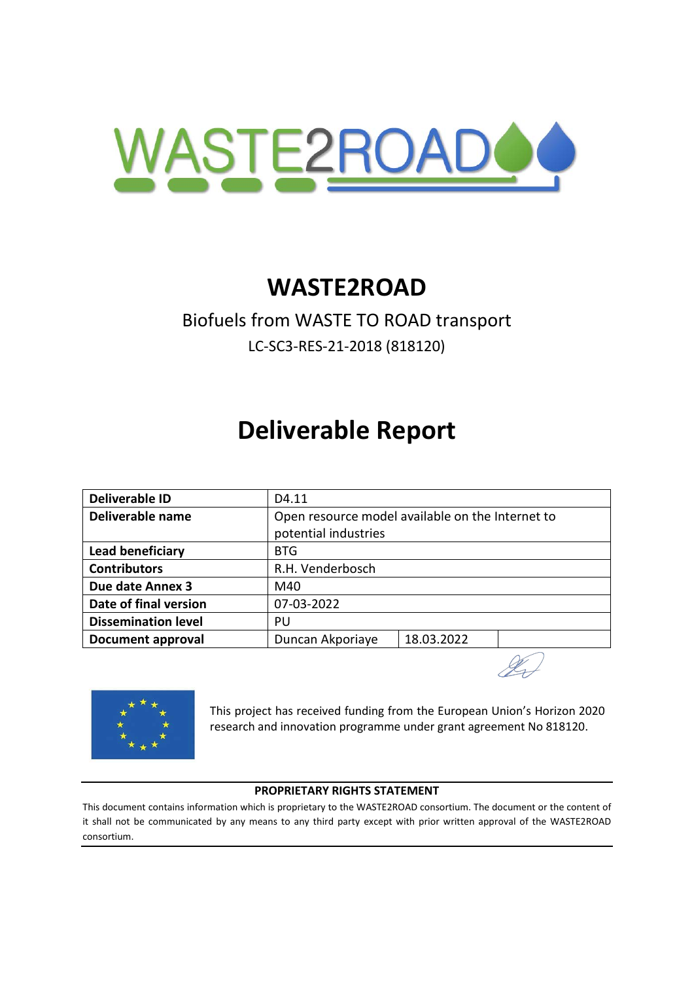

# **WASTE2ROAD**

# Biofuels from WASTE TO ROAD transport LC-SC3-RES-21-2018 (818120)

# **Deliverable Report**

| <b>Deliverable ID</b>      | D4.11                                            |            |  |  |  |  |  |
|----------------------------|--------------------------------------------------|------------|--|--|--|--|--|
| Deliverable name           | Open resource model available on the Internet to |            |  |  |  |  |  |
|                            | potential industries                             |            |  |  |  |  |  |
| Lead beneficiary           | <b>BTG</b>                                       |            |  |  |  |  |  |
| <b>Contributors</b>        | R.H. Venderbosch                                 |            |  |  |  |  |  |
| Due date Annex 3           | M40                                              |            |  |  |  |  |  |
| Date of final version      | 07-03-2022                                       |            |  |  |  |  |  |
| <b>Dissemination level</b> | PU                                               |            |  |  |  |  |  |
| <b>Document approval</b>   | Duncan Akporiaye                                 | 18.03.2022 |  |  |  |  |  |
|                            |                                                  |            |  |  |  |  |  |



This project has received funding from the European Union's Horizon 2020 research and innovation programme under grant agreement No 818120.

#### **PROPRIETARY RIGHTS STATEMENT**

This document contains information which is proprietary to the WASTE2ROAD consortium. The document or the content of it shall not be communicated by any means to any third party except with prior written approval of the WASTE2ROAD consortium.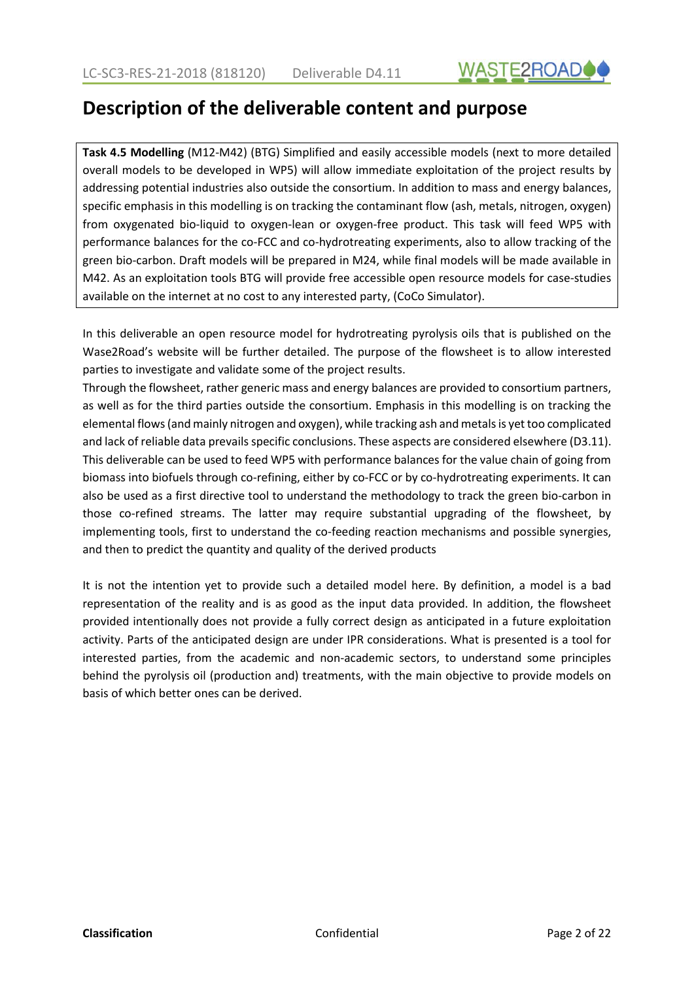

# **Description of the deliverable content and purpose**

**Task 4.5 Modelling** (M12-M42) (BTG) Simplified and easily accessible models (next to more detailed overall models to be developed in WP5) will allow immediate exploitation of the project results by addressing potential industries also outside the consortium. In addition to mass and energy balances, specific emphasis in this modelling is on tracking the contaminant flow (ash, metals, nitrogen, oxygen) from oxygenated bio-liquid to oxygen-lean or oxygen-free product. This task will feed WP5 with performance balances for the co-FCC and co-hydrotreating experiments, also to allow tracking of the green bio-carbon. Draft models will be prepared in M24, while final models will be made available in M42. As an exploitation tools BTG will provide free accessible open resource models for case-studies available on the internet at no cost to any interested party, (CoCo Simulator).

In this deliverable an open resource model for hydrotreating pyrolysis oils that is published on the Wase2Road's website will be further detailed. The purpose of the flowsheet is to allow interested parties to investigate and validate some of the project results.

Through the flowsheet, rather generic mass and energy balances are provided to consortium partners, as well as for the third parties outside the consortium. Emphasis in this modelling is on tracking the elemental flows(and mainly nitrogen and oxygen), while tracking ash and metals is yet too complicated and lack of reliable data prevails specific conclusions. These aspects are considered elsewhere (D3.11). This deliverable can be used to feed WP5 with performance balances for the value chain of going from biomass into biofuels through co-refining, either by co-FCC or by co-hydrotreating experiments. It can also be used as a first directive tool to understand the methodology to track the green bio-carbon in those co-refined streams. The latter may require substantial upgrading of the flowsheet, by implementing tools, first to understand the co-feeding reaction mechanisms and possible synergies, and then to predict the quantity and quality of the derived products

It is not the intention yet to provide such a detailed model here. By definition, a model is a bad representation of the reality and is as good as the input data provided. In addition, the flowsheet provided intentionally does not provide a fully correct design as anticipated in a future exploitation activity. Parts of the anticipated design are under IPR considerations. What is presented is a tool for interested parties, from the academic and non-academic sectors, to understand some principles behind the pyrolysis oil (production and) treatments, with the main objective to provide models on basis of which better ones can be derived.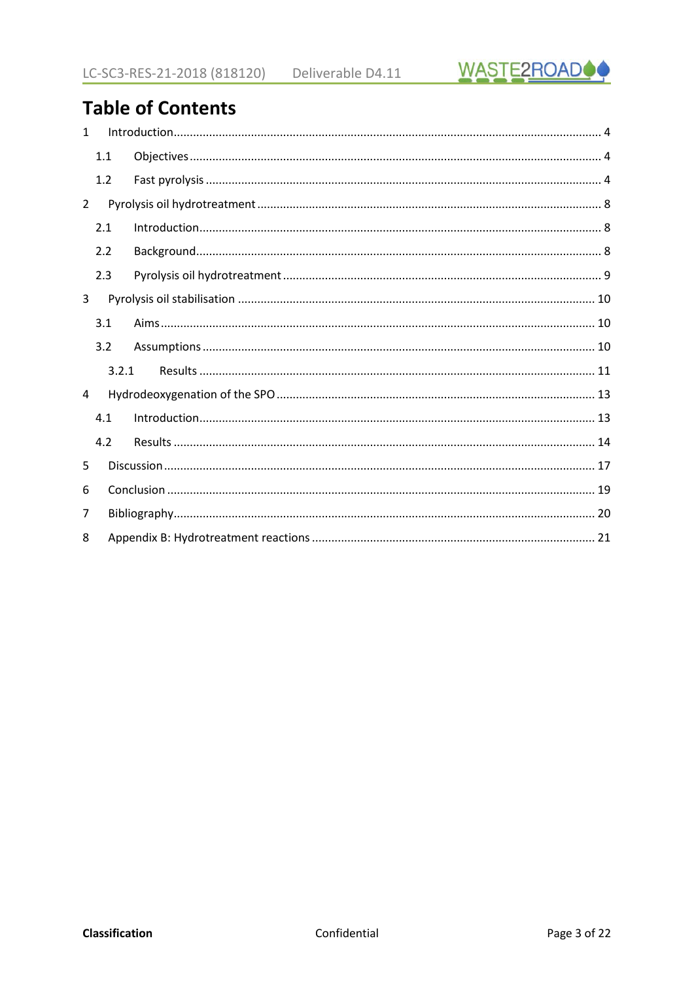

# **Table of Contents**

| $\mathbf{1}$   |     |       |  |
|----------------|-----|-------|--|
|                | 1.1 |       |  |
|                | 1.2 |       |  |
| $\overline{2}$ |     |       |  |
|                | 2.1 |       |  |
|                | 2.2 |       |  |
|                | 2.3 |       |  |
| 3              |     |       |  |
|                | 3.1 |       |  |
|                | 3.2 |       |  |
|                |     | 3.2.1 |  |
| 4              |     |       |  |
|                | 4.1 |       |  |
|                | 4.2 |       |  |
| 5              |     |       |  |
| 6              |     |       |  |
| $\overline{7}$ |     |       |  |
| 8              |     |       |  |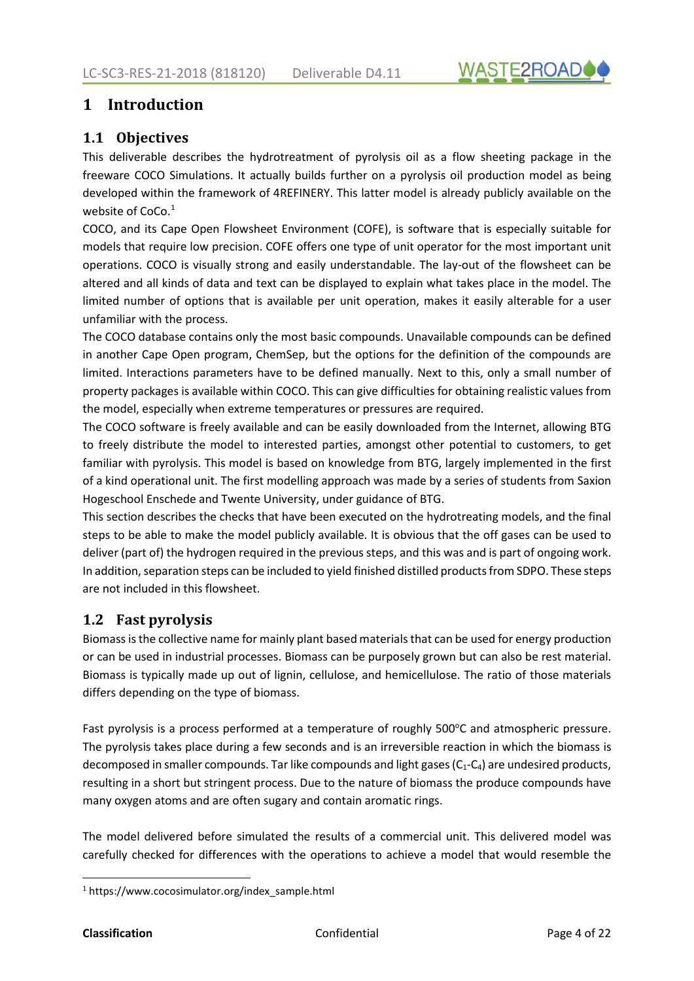

## <span id="page-3-0"></span>**1 Introduction**

#### **1.1 Objectives**

This deliverable describes the hydrotreatment of pyrolysis oil as a flow sheeting package in the freeware COCO Simulations. It actually builds further on a pyrolysis oil production model as being developed within the framework of 4REFINERY. This latter model is already publicly available on the website of CoCo.<sup>1</sup>

COCO, and its Cape Open Flowsheet Environment (COFE), is software that is especially suitable for models that require low precision. COFE offers one type of unit operator for the most important unit operations. COCO is visually strong and easily understandable. The lay-out of the flowsheet can be altered and all kinds of data and text can be displayed to explain what takes place in the model. The limited number of options that is available per unit operation, makes it easily alterable for a user unfamiliar with the process.

The COCO database contains only the most basic compounds. Unavailable compounds can be defined in another Cape Open program, ChemSep, but the options for the definition of the compounds are limited. Interactions parameters have to be defined manually. Next to this, only a small number of property packages is available within COCO. This can give difficulties for obtaining realistic values from the model, especially when extreme temperatures or pressures are required.

The COCO software is freely available and can be easily downloaded from the Internet, allowing BTG to freely distribute the model to interested parties, amongst other potential to customers, to get familiar with pyrolysis. This model is based on knowledge from BTG, largely implemented in the first of a kind operational unit. The first modelling approach was made by a series of students from Saxion Hogeschool Enschede and Twente University, under guidance of BTG.

This section describes the checks that have been executed on the hydrotreating models, and the final steps to be able to make the model publicly available. It is obvious that the off gases can be used to deliver (part of) the hydrogen required in the previous steps, and this was and is part of ongoing work. In addition, separation steps can be included to yield finished distilled products from SDPO. These steps are not included in this flowsheet.

#### **1.2 Fast pyrolysis**

Biomass is the collective name for mainly plant based materials that can be used for energy production or can be used in industrial processes. Biomass can be purposely grown but can also be rest material. Biomass is typically made up out of lignin, cellulose, and hemicellulose. The ratio of those materials differs depending on the type of biomass.

Fast pyrolysis is a process performed at a temperature of roughly 500°C and atmospheric pressure. The pyrolysis takes place during a few seconds and is an irreversible reaction in which the biomass is decomposed in smaller compounds. Tar like compounds and light gases  $(C_1-C_4)$  are undesired products, resulting in a short but stringent process. Due to the nature of biomass the produce compounds have many oxygen atoms and are often sugary and contain aromatic rings.

The model delivered before simulated the results of a commercial unit. This delivered model was carefully checked for differences with the operations to achieve a model that would resemble the

<sup>1</sup> https://www.cocosimulator.org/index\_sample.html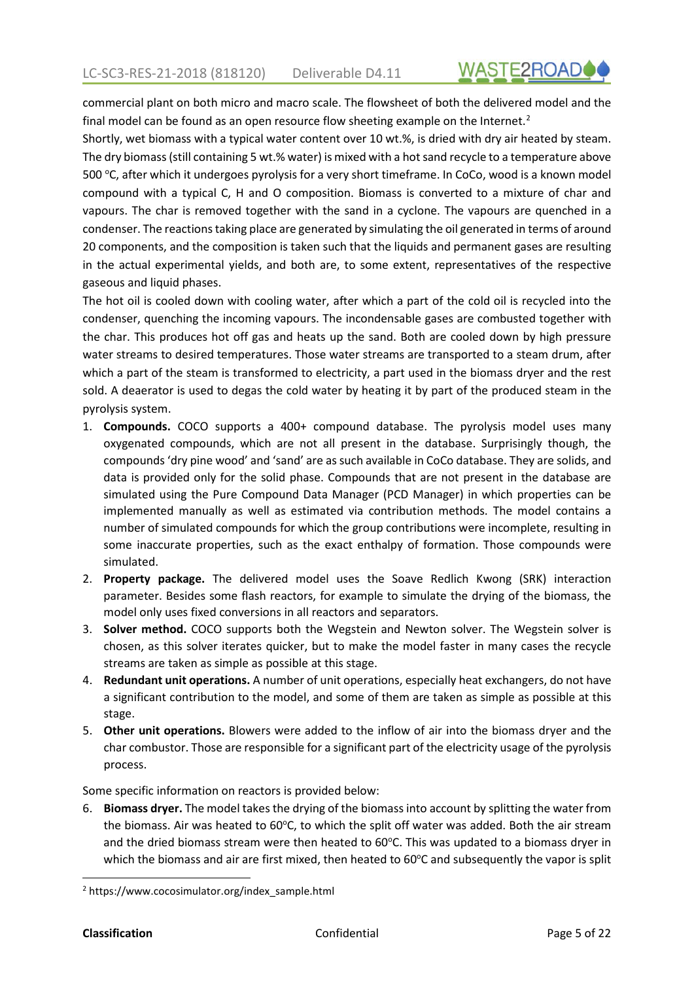commercial plant on both micro and macro scale. The flowsheet of both the delivered model and the final model can be found as an open resource flow sheeting example on the Internet.<sup>2</sup>

Shortly, wet biomass with a typical water content over 10 wt.%, is dried with dry air heated by steam. The dry biomass (still containing 5 wt.% water) is mixed with a hot sand recycle to a temperature above 500 °C, after which it undergoes pyrolysis for a very short timeframe. In CoCo, wood is a known model compound with a typical C, H and O composition. Biomass is converted to a mixture of char and vapours. The char is removed together with the sand in a cyclone. The vapours are quenched in a condenser. The reactions taking place are generated by simulating the oil generated in terms of around 20 components, and the composition is taken such that the liquids and permanent gases are resulting in the actual experimental yields, and both are, to some extent, representatives of the respective gaseous and liquid phases.

The hot oil is cooled down with cooling water, after which a part of the cold oil is recycled into the condenser, quenching the incoming vapours. The incondensable gases are combusted together with the char. This produces hot off gas and heats up the sand. Both are cooled down by high pressure water streams to desired temperatures. Those water streams are transported to a steam drum, after which a part of the steam is transformed to electricity, a part used in the biomass dryer and the rest sold. A deaerator is used to degas the cold water by heating it by part of the produced steam in the pyrolysis system.

- 1. **Compounds.** COCO supports a 400+ compound database. The pyrolysis model uses many oxygenated compounds, which are not all present in the database. Surprisingly though, the compounds 'dry pine wood' and 'sand' are as such available in CoCo database. They are solids, and data is provided only for the solid phase. Compounds that are not present in the database are simulated using the Pure Compound Data Manager (PCD Manager) in which properties can be implemented manually as well as estimated via contribution methods. The model contains a number of simulated compounds for which the group contributions were incomplete, resulting in some inaccurate properties, such as the exact enthalpy of formation. Those compounds were simulated.
- 2. **Property package.** The delivered model uses the Soave Redlich Kwong (SRK) interaction parameter. Besides some flash reactors, for example to simulate the drying of the biomass, the model only uses fixed conversions in all reactors and separators.
- 3. **Solver method.** COCO supports both the Wegstein and Newton solver. The Wegstein solver is chosen, as this solver iterates quicker, but to make the model faster in many cases the recycle streams are taken as simple as possible at this stage.
- 4. **Redundant unit operations.** A number of unit operations, especially heat exchangers, do not have a significant contribution to the model, and some of them are taken as simple as possible at this stage.
- 5. **Other unit operations.** Blowers were added to the inflow of air into the biomass dryer and the char combustor. Those are responsible for a significant part of the electricity usage of the pyrolysis process.

Some specific information on reactors is provided below:

6. **Biomass dryer.** The model takes the drying of the biomass into account by splitting the water from the biomass. Air was heated to 60°C, to which the split off water was added. Both the air stream and the dried biomass stream were then heated to 60°C. This was updated to a biomass dryer in which the biomass and air are first mixed, then heated to 60°C and subsequently the vapor is split

<sup>2</sup> https://www.cocosimulator.org/index\_sample.html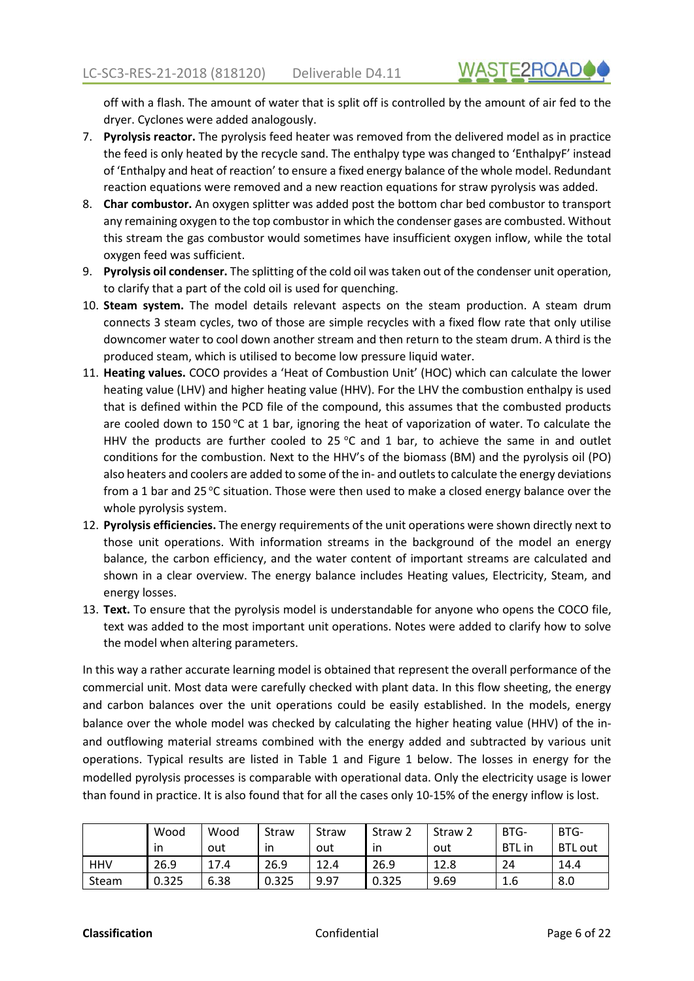off with a flash. The amount of water that is split off is controlled by the amount of air fed to the dryer. Cyclones were added analogously.

- 7. **Pyrolysis reactor.** The pyrolysis feed heater was removed from the delivered model as in practice the feed is only heated by the recycle sand. The enthalpy type was changed to 'EnthalpyF' instead of 'Enthalpy and heat of reaction' to ensure a fixed energy balance of the whole model. Redundant reaction equations were removed and a new reaction equations for straw pyrolysis was added.
- 8. **Char combustor.** An oxygen splitter was added post the bottom char bed combustor to transport any remaining oxygen to the top combustor in which the condenser gases are combusted. Without this stream the gas combustor would sometimes have insufficient oxygen inflow, while the total oxygen feed was sufficient.
- 9. **Pyrolysis oil condenser.** The splitting of the cold oil was taken out of the condenser unit operation, to clarify that a part of the cold oil is used for quenching.
- 10. **Steam system.** The model details relevant aspects on the steam production. A steam drum connects 3 steam cycles, two of those are simple recycles with a fixed flow rate that only utilise downcomer water to cool down another stream and then return to the steam drum. A third is the produced steam, which is utilised to become low pressure liquid water.
- 11. **Heating values.** COCO provides a 'Heat of Combustion Unit' (HOC) which can calculate the lower heating value (LHV) and higher heating value (HHV). For the LHV the combustion enthalpy is used that is defined within the PCD file of the compound, this assumes that the combusted products are cooled down to 150 °C at 1 bar, ignoring the heat of vaporization of water. To calculate the HHV the products are further cooled to 25  $^{\circ}$ C and 1 bar, to achieve the same in and outlet conditions for the combustion. Next to the HHV's of the biomass (BM) and the pyrolysis oil (PO) also heaters and coolers are added to some of the in- and outlets to calculate the energy deviations from a 1 bar and 25 °C situation. Those were then used to make a closed energy balance over the whole pyrolysis system.
- 12. **Pyrolysis efficiencies.** The energy requirements of the unit operations were shown directly next to those unit operations. With information streams in the background of the model an energy balance, the carbon efficiency, and the water content of important streams are calculated and shown in a clear overview. The energy balance includes Heating values, Electricity, Steam, and energy losses.
- 13. **Text.** To ensure that the pyrolysis model is understandable for anyone who opens the COCO file, text was added to the most important unit operations. Notes were added to clarify how to solve the model when altering parameters.

In this way a rather accurate learning model is obtained that represent the overall performance of the commercial unit. Most data were carefully checked with plant data. In this flow sheeting, the energy and carbon balances over the unit operations could be easily established. In the models, energy balance over the whole model was checked by calculating the higher heating value (HHV) of the inand outflowing material streams combined with the energy added and subtracted by various unit operations. Typical results are listed in Table 1 and Figure 1 below. The losses in energy for the modelled pyrolysis processes is comparable with operational data. Only the electricity usage is lower than found in practice. It is also found that for all the cases only 10-15% of the energy inflow is lost.

|            | Wood  | Wood | Straw | Straw | Straw <sub>2</sub> | Straw <sub>2</sub> | BTG-          | BTG-           |
|------------|-------|------|-------|-------|--------------------|--------------------|---------------|----------------|
|            | in    | out  | ın    | out   | in                 | out                | <b>BTL</b> in | <b>BTL out</b> |
| <b>HHV</b> | 26.9  | 17.4 | 26.9  | 12.4  | 26.9               | 12.8               | 24            | 14.4           |
| Steam      | 0.325 | 6.38 | 0.325 | 9.97  | 0.325              | 9.69               | 1.6           | 8.0            |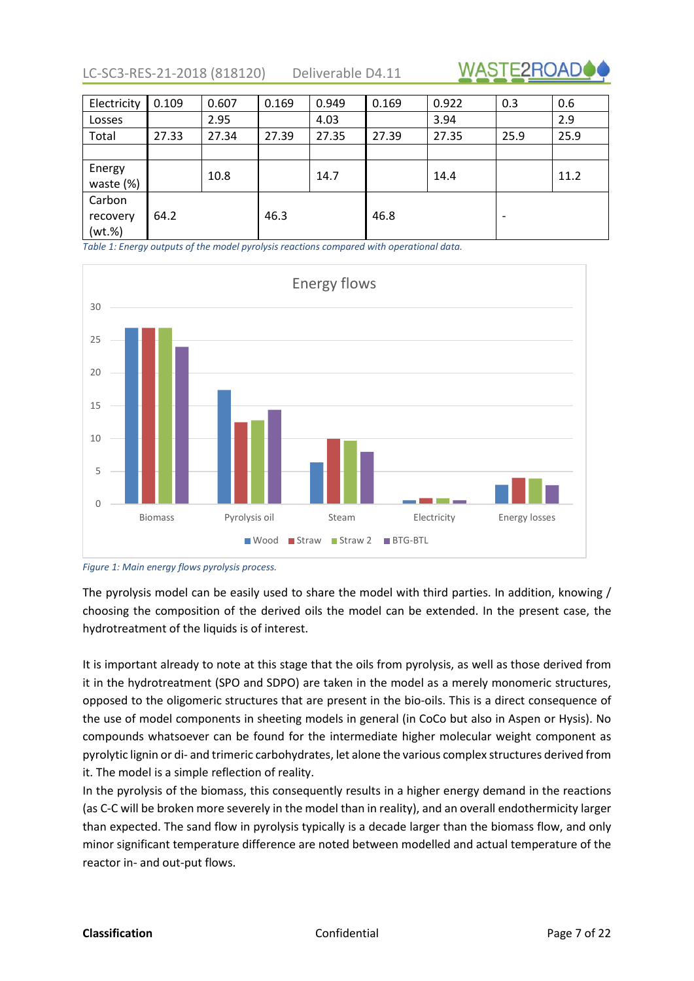LC-SC3-RES-21-2018 (818120) Deliverable D4.11



| Electricity                     | 0.109 | 0.607 | 0.169 | 0.949 | 0.169 | 0.922 | 0.3                      | 0.6  |
|---------------------------------|-------|-------|-------|-------|-------|-------|--------------------------|------|
| Losses                          |       | 2.95  |       | 4.03  |       | 3.94  |                          | 2.9  |
| Total                           | 27.33 | 27.34 | 27.39 | 27.35 | 27.39 | 27.35 | 25.9                     | 25.9 |
|                                 |       |       |       |       |       |       |                          |      |
| Energy<br>waste (%)             |       | 10.8  |       | 14.7  |       | 14.4  |                          | 11.2 |
| Carbon<br>recovery<br>$(wt.\%)$ | 64.2  |       | 46.3  |       | 46.8  |       | $\overline{\phantom{a}}$ |      |

*Table 1: Energy outputs of the model pyrolysis reactions compared with operational data.*



*Figure 1: Main energy flows pyrolysis process.*

The pyrolysis model can be easily used to share the model with third parties. In addition, knowing / choosing the composition of the derived oils the model can be extended. In the present case, the hydrotreatment of the liquids is of interest.

It is important already to note at this stage that the oils from pyrolysis, as well as those derived from it in the hydrotreatment (SPO and SDPO) are taken in the model as a merely monomeric structures, opposed to the oligomeric structures that are present in the bio-oils. This is a direct consequence of the use of model components in sheeting models in general (in CoCo but also in Aspen or Hysis). No compounds whatsoever can be found for the intermediate higher molecular weight component as pyrolytic lignin or di- and trimeric carbohydrates, let alone the various complex structures derived from it. The model is a simple reflection of reality.

In the pyrolysis of the biomass, this consequently results in a higher energy demand in the reactions (as C-C will be broken more severely in the model than in reality), and an overall endothermicity larger than expected. The sand flow in pyrolysis typically is a decade larger than the biomass flow, and only minor significant temperature difference are noted between modelled and actual temperature of the reactor in- and out-put flows.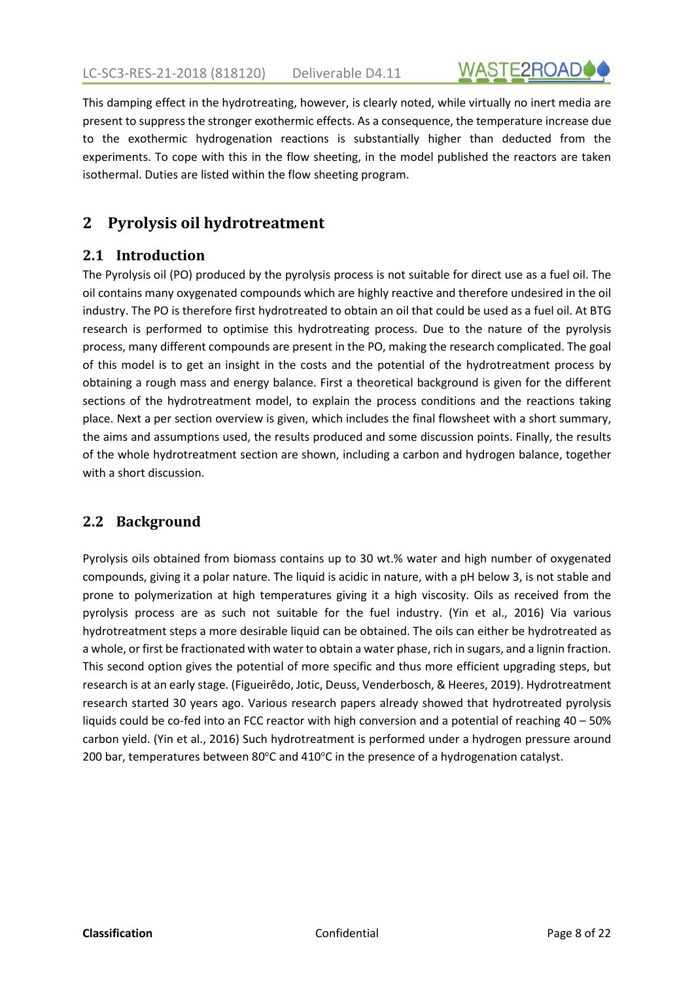

<span id="page-7-0"></span>This damping effect in the hydrotreating, however, is clearly noted, while virtually no inert media are present to suppress the stronger exothermic effects. As a consequence, the temperature increase due to the exothermic hydrogenation reactions is substantially higher than deducted from the experiments. To cope with this in the flow sheeting, in the model published the reactors are taken isothermal. Duties are listed within the flow sheeting program.

## **2 Pyrolysis oil hydrotreatment**

#### **2.1 Introduction**

The Pyrolysis oil (PO) produced by the pyrolysis process is not suitable for direct use as a fuel oil. The oil contains many oxygenated compounds which are highly reactive and therefore undesired in the oil industry. The PO is therefore first hydrotreated to obtain an oil that could be used as a fuel oil. At BTG research is performed to optimise this hydrotreating process. Due to the nature of the pyrolysis process, many different compounds are present in the PO, making the research complicated. The goal of this model is to get an insight in the costs and the potential of the hydrotreatment process by obtaining a rough mass and energy balance. First a theoretical background is given for the different sections of the hydrotreatment model, to explain the process conditions and the reactions taking place. Next a per section overview is given, which includes the final flowsheet with a short summary, the aims and assumptions used, the results produced and some discussion points. Finally, the results of the whole hydrotreatment section are shown, including a carbon and hydrogen balance, together with a short discussion.

#### **2.2 Background**

Pyrolysis oils obtained from biomass contains up to 30 wt.% water and high number of oxygenated compounds, giving it a polar nature. The liquid is acidic in nature, with a pH below 3, is not stable and prone to polymerization at high temperatures giving it a high viscosity. Oils as received from the pyrolysis process are as such not suitable for the fuel industry. (Yin et al., 2016) Via various hydrotreatment steps a more desirable liquid can be obtained. The oils can either be hydrotreated as a whole, or first be fractionated with water to obtain a water phase, rich in sugars, and a lignin fraction. This second option gives the potential of more specific and thus more efficient upgrading steps, but research is at an early stage. (Figueirêdo, Jotic, Deuss, Venderbosch, & Heeres, 2019). Hydrotreatment research started 30 years ago. Various research papers already showed that hydrotreated pyrolysis liquids could be co-fed into an FCC reactor with high conversion and a potential of reaching 40 – 50% carbon yield. (Yin et al., 2016) Such hydrotreatment is performed under a hydrogen pressure around 200 bar, temperatures between 80°C and 410°C in the presence of a hydrogenation catalyst.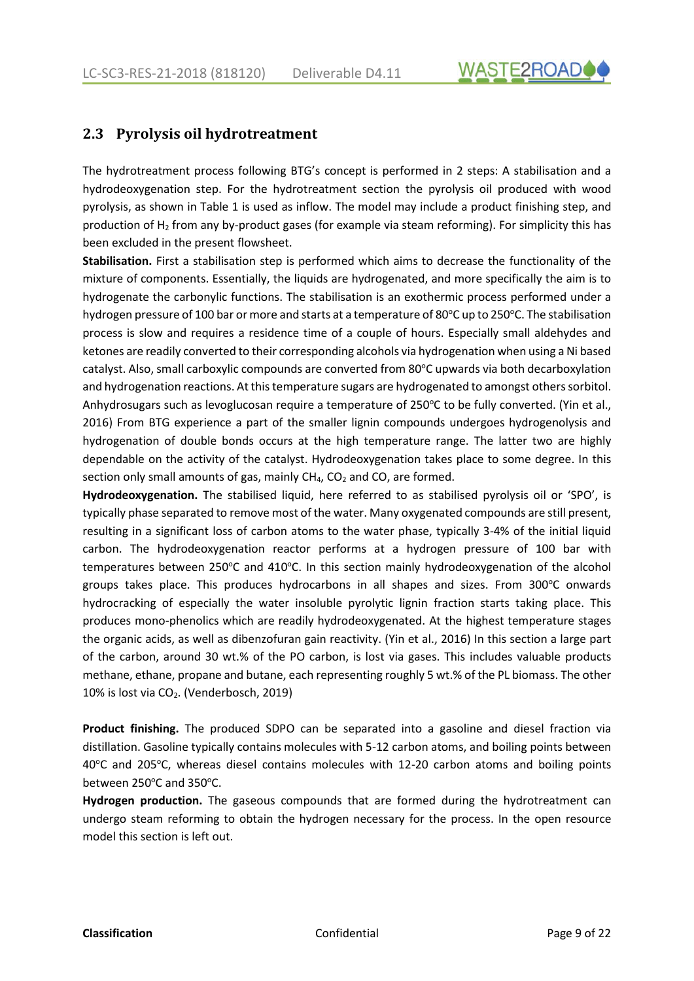

#### <span id="page-8-0"></span>**2.3 Pyrolysis oil hydrotreatment**

The hydrotreatment process following BTG's concept is performed in 2 steps: A stabilisation and a hydrodeoxygenation step. For the hydrotreatment section the pyrolysis oil produced with wood pyrolysis, as shown in Table 1 is used as inflow. The model may include a product finishing step, and production of H2 from any by-product gases (for example via steam reforming). For simplicity this has been excluded in the present flowsheet.

**Stabilisation.** First a stabilisation step is performed which aims to decrease the functionality of the mixture of components. Essentially, the liquids are hydrogenated, and more specifically the aim is to hydrogenate the carbonylic functions. The stabilisation is an exothermic process performed under a hydrogen pressure of 100 bar or more and starts at a temperature of 80°C up to 250°C. The stabilisation process is slow and requires a residence time of a couple of hours. Especially small aldehydes and ketones are readily converted to their corresponding alcohols via hydrogenation when using a Ni based catalyst. Also, small carboxylic compounds are converted from 80°C upwards via both decarboxylation and hydrogenation reactions. At this temperature sugars are hydrogenated to amongst others sorbitol. Anhydrosugars such as levoglucosan require a temperature of 250°C to be fully converted. (Yin et al., 2016) From BTG experience a part of the smaller lignin compounds undergoes hydrogenolysis and hydrogenation of double bonds occurs at the high temperature range. The latter two are highly dependable on the activity of the catalyst. Hydrodeoxygenation takes place to some degree. In this section only small amounts of gas, mainly  $CH_4$ ,  $CO_2$  and  $CO$ , are formed.

**Hydrodeoxygenation.** The stabilised liquid, here referred to as stabilised pyrolysis oil or 'SPO', is typically phase separated to remove most of the water. Many oxygenated compounds are still present, resulting in a significant loss of carbon atoms to the water phase, typically 3-4% of the initial liquid carbon. The hydrodeoxygenation reactor performs at a hydrogen pressure of 100 bar with temperatures between 250°C and 410°C. In this section mainly hydrodeoxygenation of the alcohol groups takes place. This produces hydrocarbons in all shapes and sizes. From 300°C onwards hydrocracking of especially the water insoluble pyrolytic lignin fraction starts taking place. This produces mono-phenolics which are readily hydrodeoxygenated. At the highest temperature stages the organic acids, as well as dibenzofuran gain reactivity. (Yin et al., 2016) In this section a large part of the carbon, around 30 wt.% of the PO carbon, is lost via gases. This includes valuable products methane, ethane, propane and butane, each representing roughly 5 wt.% of the PL biomass. The other 10% is lost via CO2. (Venderbosch, 2019)

**Product finishing.** The produced SDPO can be separated into a gasoline and diesel fraction via distillation. Gasoline typically contains molecules with 5-12 carbon atoms, and boiling points between 40°C and 205°C, whereas diesel contains molecules with 12-20 carbon atoms and boiling points between 250°C and 350°C.

**Hydrogen production.** The gaseous compounds that are formed during the hydrotreatment can undergo steam reforming to obtain the hydrogen necessary for the process. In the open resource model this section is left out.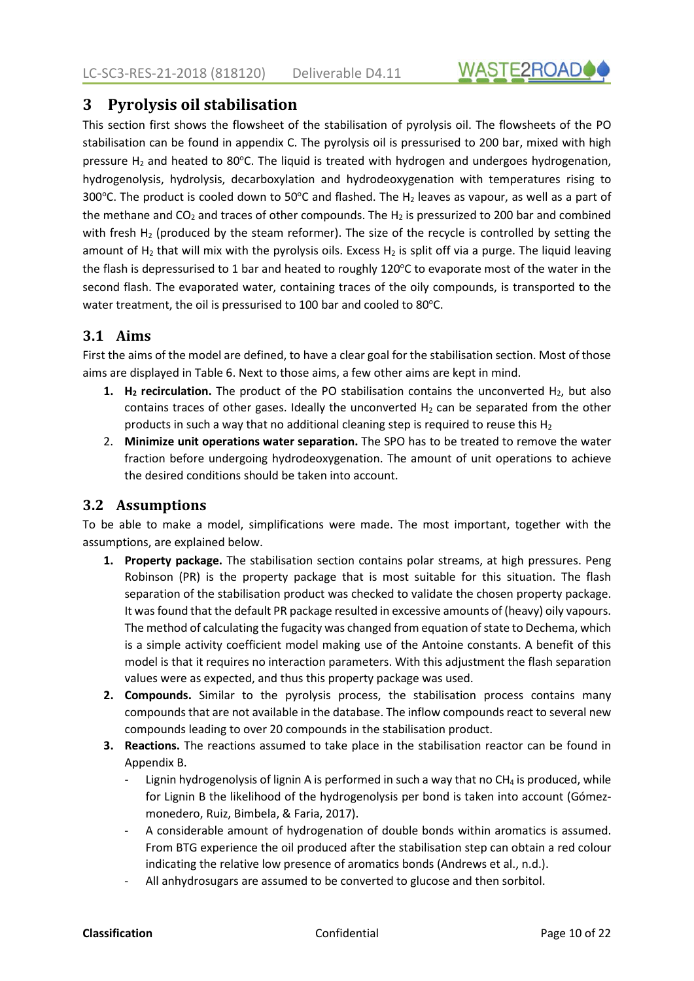

#### <span id="page-9-0"></span>**3 Pyrolysis oil stabilisation**

This section first shows the flowsheet of the stabilisation of pyrolysis oil. The flowsheets of the PO stabilisation can be found in appendix C. The pyrolysis oil is pressurised to 200 bar, mixed with high pressure  $H_2$  and heated to 80°C. The liquid is treated with hydrogen and undergoes hydrogenation, hydrogenolysis, hydrolysis, decarboxylation and hydrodeoxygenation with temperatures rising to 300°C. The product is cooled down to 50°C and flashed. The H<sub>2</sub> leaves as vapour, as well as a part of the methane and  $CO<sub>2</sub>$  and traces of other compounds. The H<sub>2</sub> is pressurized to 200 bar and combined with fresh  $H_2$  (produced by the steam reformer). The size of the recycle is controlled by setting the amount of  $H_2$  that will mix with the pyrolysis oils. Excess  $H_2$  is split off via a purge. The liquid leaving the flash is depressurised to 1 bar and heated to roughly 120°C to evaporate most of the water in the second flash. The evaporated water, containing traces of the oily compounds, is transported to the water treatment, the oil is pressurised to 100 bar and cooled to 80°C.

#### **3.1 Aims**

First the aims of the model are defined, to have a clear goal for the stabilisation section. Most of those aims are displayed in [Table 6.](#page-10-0) Next to those aims, a few other aims are kept in mind.

- **1. H<sub>2</sub> recirculation.** The product of the PO stabilisation contains the unconverted H<sub>2</sub>, but also contains traces of other gases. Ideally the unconverted  $H_2$  can be separated from the other products in such a way that no additional cleaning step is required to reuse this  $H_2$
- 2. **Minimize unit operations water separation.** The SPO has to be treated to remove the water fraction before undergoing hydrodeoxygenation. The amount of unit operations to achieve the desired conditions should be taken into account.

#### **3.2 Assumptions**

To be able to make a model, simplifications were made. The most important, together with the assumptions, are explained below.

- **1. Property package.** The stabilisation section contains polar streams, at high pressures. Peng Robinson (PR) is the property package that is most suitable for this situation. The flash separation of the stabilisation product was checked to validate the chosen property package. It was found that the default PR package resulted in excessive amounts of (heavy) oily vapours. The method of calculating the fugacity was changed from equation of state to Dechema, which is a simple activity coefficient model making use of the Antoine constants. A benefit of this model is that it requires no interaction parameters. With this adjustment the flash separation values were as expected, and thus this property package was used.
- **2. Compounds.** Similar to the pyrolysis process, the stabilisation process contains many compounds that are not available in the database. The inflow compounds react to several new compounds leading to over 20 compounds in the stabilisation product.
- **3. Reactions.** The reactions assumed to take place in the stabilisation reactor can be found in Appendix B.
	- Lignin hydrogenolysis of lignin A is performed in such a way that no  $CH_4$  is produced, while for Lignin B the likelihood of the hydrogenolysis per bond is taken into account (Gómezmonedero, Ruiz, Bimbela, & Faria, 2017).
	- A considerable amount of hydrogenation of double bonds within aromatics is assumed. From BTG experience the oil produced after the stabilisation step can obtain a red colour indicating the relative low presence of aromatics bonds (Andrews et al., n.d.).
	- All anhydrosugars are assumed to be converted to glucose and then sorbitol.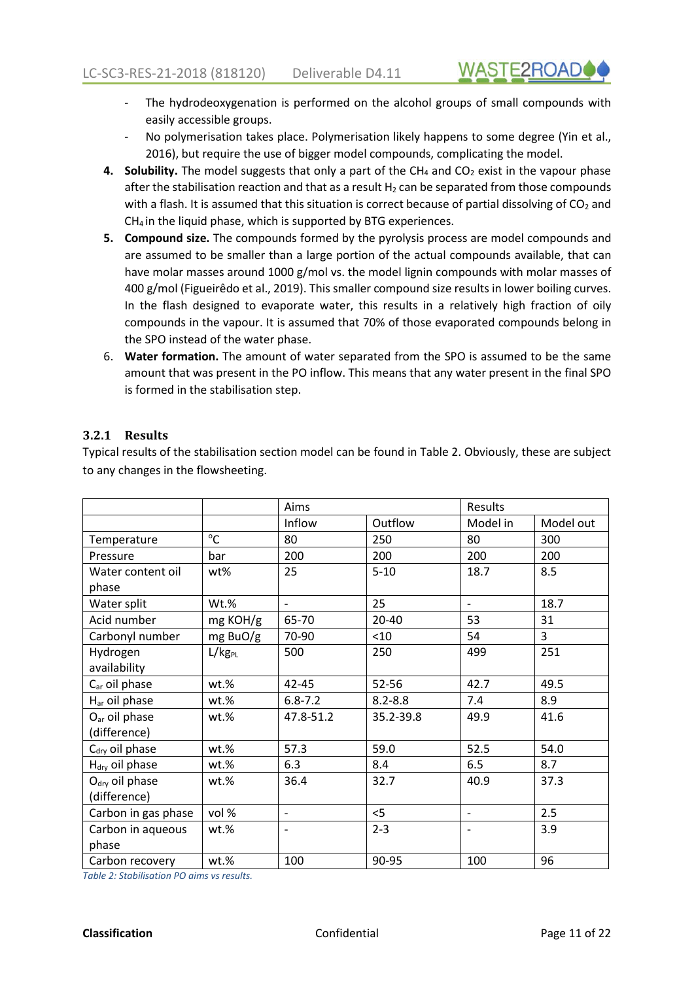- <span id="page-10-0"></span>The hydrodeoxygenation is performed on the alcohol groups of small compounds with easily accessible groups.
- No polymerisation takes place. Polymerisation likely happens to some degree (Yin et al., 2016), but require the use of bigger model compounds, complicating the model.
- **4. Solubility.** The model suggests that only a part of the CH<sub>4</sub> and CO<sub>2</sub> exist in the vapour phase after the stabilisation reaction and that as a result  $H_2$  can be separated from those compounds with a flash. It is assumed that this situation is correct because of partial dissolving of  $CO<sub>2</sub>$  and CH4 in the liquid phase, which is supported by BTG experiences.
- **5. Compound size.** The compounds formed by the pyrolysis process are model compounds and are assumed to be smaller than a large portion of the actual compounds available, that can have molar masses around 1000 g/mol vs. the model lignin compounds with molar masses of 400 g/mol (Figueirêdo et al., 2019). This smaller compound size results in lower boiling curves. In the flash designed to evaporate water, this results in a relatively high fraction of oily compounds in the vapour. It is assumed that 70% of those evaporated compounds belong in the SPO instead of the water phase.
- 6. **Water formation.** The amount of water separated from the SPO is assumed to be the same amount that was present in the PO inflow. This means that any water present in the final SPO is formed in the stabilisation step.

#### **3.2.1 Results**

Typical results of the stabilisation section model can be found in Table 2. Obviously, these are subject to any changes in the flowsheeting.

|                            |                    | Aims              |             | Results                  |                |
|----------------------------|--------------------|-------------------|-------------|--------------------------|----------------|
|                            |                    | Inflow            | Outflow     | Model in                 | Model out      |
| Temperature                | °C                 | 80                | 250         | 80                       | 300            |
| Pressure                   | bar                | 200               | 200         | 200                      | 200            |
| Water content oil          | wt%                | 25                | $5 - 10$    | 18.7                     | 8.5            |
| phase                      |                    |                   |             |                          |                |
| Water split                | Wt.%               | $\frac{1}{2}$     | 25          | $\overline{\phantom{0}}$ | 18.7           |
| Acid number                | mg KOH/g           | 65-70             | 20-40       | 53                       | 31             |
| Carbonyl number            | mg BuO/g           | 70-90             | $<$ 10      | 54                       | $\overline{3}$ |
| Hydrogen                   | L/kg <sub>PL</sub> | 500               | 250         | 499                      | 251            |
| availability               |                    |                   |             |                          |                |
| C <sub>ar</sub> oil phase  | wt.%               | $42 - 45$         | 52-56       | 42.7                     | 49.5           |
| H <sub>ar</sub> oil phase  | $wt.\%$            | $6.8 - 7.2$       | $8.2 - 8.8$ | 7.4                      | 8.9            |
| O <sub>ar</sub> oil phase  | wt.%               | 47.8-51.2         | 35.2-39.8   | 49.9                     | 41.6           |
| (difference)               |                    |                   |             |                          |                |
| C <sub>dry</sub> oil phase | wt.%               | 57.3              | 59.0        | 52.5                     | 54.0           |
| H <sub>dry</sub> oil phase | wt.%               | 6.3               | 8.4         | 6.5                      | 8.7            |
| $O_{\text{dry}}$ oil phase | wt.%               | 36.4              | 32.7        | 40.9                     | 37.3           |
| (difference)               |                    |                   |             |                          |                |
| Carbon in gas phase        | vol %              | $\qquad \qquad -$ | $<$ 5       | $\overline{\phantom{a}}$ | 2.5            |
| Carbon in aqueous          | wt.%               |                   | $2 - 3$     |                          | 3.9            |
| phase                      |                    |                   |             |                          |                |
| Carbon recovery            | wt.%               | 100               | 90-95       | 100                      | 96             |

*Table 2: Stabilisation PO aims vs results.*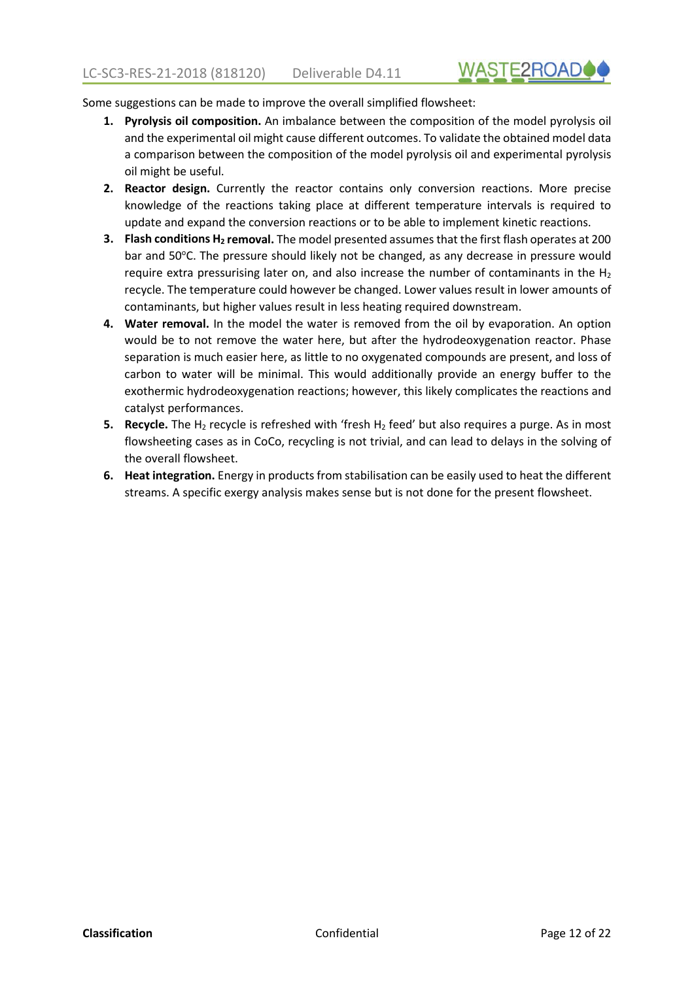**WASTE2ROAD** 

Some suggestions can be made to improve the overall simplified flowsheet:

- **1. Pyrolysis oil composition.** An imbalance between the composition of the model pyrolysis oil and the experimental oil might cause different outcomes. To validate the obtained model data a comparison between the composition of the model pyrolysis oil and experimental pyrolysis oil might be useful.
- **2. Reactor design.** Currently the reactor contains only conversion reactions. More precise knowledge of the reactions taking place at different temperature intervals is required to update and expand the conversion reactions or to be able to implement kinetic reactions.
- **3.** Flash conditions H<sub>2</sub> removal. The model presented assumes that the first flash operates at 200 bar and 50°C. The pressure should likely not be changed, as any decrease in pressure would require extra pressurising later on, and also increase the number of contaminants in the  $H_2$ recycle. The temperature could however be changed. Lower values result in lower amounts of contaminants, but higher values result in less heating required downstream.
- **4. Water removal.** In the model the water is removed from the oil by evaporation. An option would be to not remove the water here, but after the hydrodeoxygenation reactor. Phase separation is much easier here, as little to no oxygenated compounds are present, and loss of carbon to water will be minimal. This would additionally provide an energy buffer to the exothermic hydrodeoxygenation reactions; however, this likely complicates the reactions and catalyst performances.
- **5. Recycle.** The H<sub>2</sub> recycle is refreshed with 'fresh H<sub>2</sub> feed' but also requires a purge. As in most flowsheeting cases as in CoCo, recycling is not trivial, and can lead to delays in the solving of the overall flowsheet.
- **6. Heat integration.** Energy in products from stabilisation can be easily used to heat the different streams. A specific exergy analysis makes sense but is not done for the present flowsheet.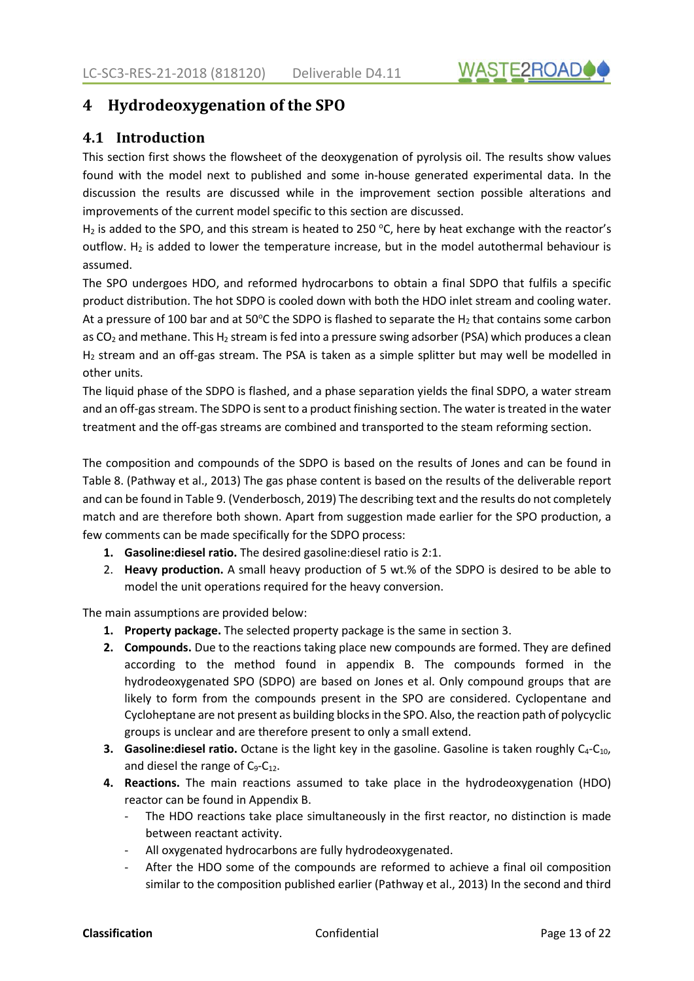

#### <span id="page-12-0"></span>**4 Hydrodeoxygenation of the SPO**

#### **4.1 Introduction**

This section first shows the flowsheet of the deoxygenation of pyrolysis oil. The results show values found with the model next to published and some in-house generated experimental data. In the discussion the results are discussed while in the improvement section possible alterations and improvements of the current model specific to this section are discussed.

 $H_2$  is added to the SPO, and this stream is heated to 250 °C, here by heat exchange with the reactor's outflow. H<sub>2</sub> is added to lower the temperature increase, but in the model autothermal behaviour is assumed.

The SPO undergoes HDO, and reformed hydrocarbons to obtain a final SDPO that fulfils a specific product distribution. The hot SDPO is cooled down with both the HDO inlet stream and cooling water. At a pressure of 100 bar and at 50°C the SDPO is flashed to separate the H<sub>2</sub> that contains some carbon as  $CO<sub>2</sub>$  and methane. This H<sub>2</sub> stream is fed into a pressure swing adsorber (PSA) which produces a clean H<sub>2</sub> stream and an off-gas stream. The PSA is taken as a simple splitter but may well be modelled in other units.

The liquid phase of the SDPO is flashed, and a phase separation yields the final SDPO, a water stream and an off-gas stream. The SDPO is sent to a product finishing section. The water is treated in the water treatment and the off-gas streams are combined and transported to the steam reforming section.

The composition and compounds of the SDPO is based on the results of Jones and can be found in [Table 8.](#page-14-0) (Pathway et al., 2013) The gas phase content is based on the results of the deliverable report and can be found i[n Table 9.](#page-15-0) (Venderbosch, 2019) The describing text and the results do not completely match and are therefore both shown. Apart from suggestion made earlier for the SPO production, a few comments can be made specifically for the SDPO process:

- **1. Gasoline:diesel ratio.** The desired gasoline:diesel ratio is 2:1.
- 2. **Heavy production.** A small heavy production of 5 wt.% of the SDPO is desired to be able to model the unit operations required for the heavy conversion.

The main assumptions are provided below:

- **1. Property package.** The selected property package is the same in section 3.
- **2. Compounds.** Due to the reactions taking place new compounds are formed. They are defined according to the method found in appendix B. The compounds formed in the hydrodeoxygenated SPO (SDPO) are based on Jones et al. Only compound groups that are likely to form from the compounds present in the SPO are considered. Cyclopentane and Cycloheptane are not present as building blocks in the SPO. Also, the reaction path of polycyclic groups is unclear and are therefore present to only a small extend.
- **3.** Gasoline: diesel ratio. Octane is the light key in the gasoline. Gasoline is taken roughly C<sub>4</sub>-C<sub>10</sub>, and diesel the range of  $C_9$ - $C_{12}$ .
- **4. Reactions.** The main reactions assumed to take place in the hydrodeoxygenation (HDO) reactor can be found in Appendix B.
	- The HDO reactions take place simultaneously in the first reactor, no distinction is made between reactant activity.
	- All oxygenated hydrocarbons are fully hydrodeoxygenated.
	- After the HDO some of the compounds are reformed to achieve a final oil composition similar to the composition published earlier (Pathway et al., 2013) In the second and third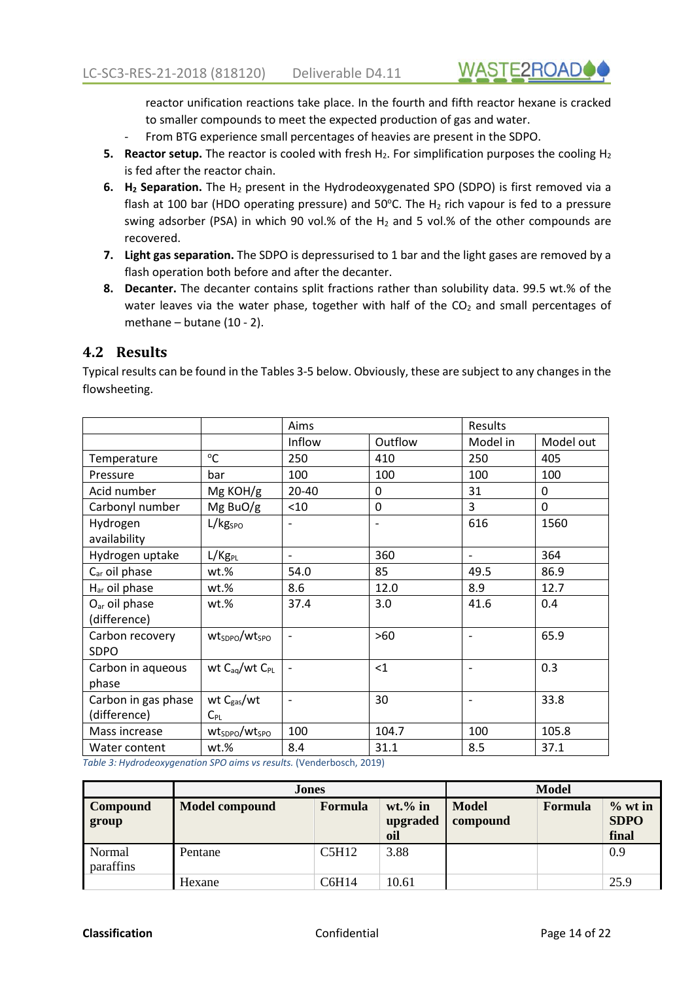**WASTE2ROAD** 

<span id="page-13-0"></span>reactor unification reactions take place. In the fourth and fifth reactor hexane is cracked to smaller compounds to meet the expected production of gas and water.

- From BTG experience small percentages of heavies are present in the SDPO.
- **5. Reactor setup.** The reactor is cooled with fresh H<sub>2</sub>. For simplification purposes the cooling H<sub>2</sub> is fed after the reactor chain.
- **6. H2 Separation.** The H2 present in the Hydrodeoxygenated SPO (SDPO) is first removed via a flash at 100 bar (HDO operating pressure) and 50°C. The  $H_2$  rich vapour is fed to a pressure swing adsorber (PSA) in which 90 vol.% of the H<sub>2</sub> and 5 vol.% of the other compounds are recovered.
- **7. Light gas separation.** The SDPO is depressurised to 1 bar and the light gases are removed by a flash operation both before and after the decanter.
- **8. Decanter.** The decanter contains split fractions rather than solubility data. 99.5 wt.% of the water leaves via the water phase, together with half of the  $CO<sub>2</sub>$  and small percentages of methane – butane (10 - 2).

#### **4.2 Results**

Typical results can be found in the Tables 3-5 below. Obviously, these are subject to any changes in the flowsheeting.

|                           |                                       | Aims                         |                          | Results                  |           |
|---------------------------|---------------------------------------|------------------------------|--------------------------|--------------------------|-----------|
|                           |                                       | Inflow                       | Outflow                  | Model in                 | Model out |
| Temperature               | $^{\circ}$ C                          | 250                          | 410                      | 250                      | 405       |
| Pressure                  | bar                                   | 100                          | 100                      | 100                      | 100       |
| Acid number               | Mg KOH/g                              | 20-40                        | 0                        | 31                       | 0         |
| Carbonyl number           | Mg BuO/g                              | < 10                         | 0                        | 3                        | $\Omega$  |
| Hydrogen                  | L/kg <sub>spo</sub>                   |                              | $\overline{\phantom{a}}$ | 616                      | 1560      |
| availability              |                                       |                              |                          |                          |           |
| Hydrogen uptake           | L/Kg <sub>PL</sub>                    | $\qquad \qquad \blacksquare$ | 360                      | $\blacksquare$           | 364       |
| C <sub>ar</sub> oil phase | wt.%                                  | 54.0                         | 85                       | 49.5                     | 86.9      |
| H <sub>ar</sub> oil phase | wt.%                                  | 8.6                          | 12.0                     | 8.9                      | 12.7      |
| $Oar$ oil phase           | wt.%                                  | 37.4                         | 3.0                      | 41.6                     | 0.4       |
| (difference)              |                                       |                              |                          |                          |           |
| Carbon recovery           | wt <sub>sppo</sub> /wt <sub>spo</sub> | $\overline{\phantom{a}}$     | $>60$                    | $\overline{\phantom{a}}$ | 65.9      |
| <b>SDPO</b>               |                                       |                              |                          |                          |           |
| Carbon in aqueous         | wt $C_{aq}/wt C_{PL}$                 |                              | <1                       |                          | 0.3       |
| phase                     |                                       |                              |                          |                          |           |
| Carbon in gas phase       | wt $C_{gas}/wt$                       | $\overline{\phantom{a}}$     | 30                       | $\overline{\phantom{a}}$ | 33.8      |
| (difference)              | $C_{PL}$                              |                              |                          |                          |           |
| Mass increase             | wt <sub>sDPO</sub> /wt <sub>sPO</sub> | 100                          | 104.7                    | 100                      | 105.8     |
| Water content             | wt.%                                  | 8.4                          | 31.1                     | 8.5                      | 37.1      |

*Table 3: Hydrodeoxygenation SPO aims vs results.* (Venderbosch, 2019)

|                     | Jones                 |                | <b>Model</b>                  |                          |         |                                   |
|---------------------|-----------------------|----------------|-------------------------------|--------------------------|---------|-----------------------------------|
| Compound<br>group   | <b>Model compound</b> | <b>Formula</b> | $wt.$ % in<br>upgraded<br>oil | <b>Model</b><br>compound | Formula | $%$ wt in<br><b>SDPO</b><br>final |
| Normal<br>paraffins | Pentane               | C5H12          | 3.88                          |                          |         | 0.9                               |
|                     | Hexane                | C6H14          | 10.61                         |                          |         | 25.9                              |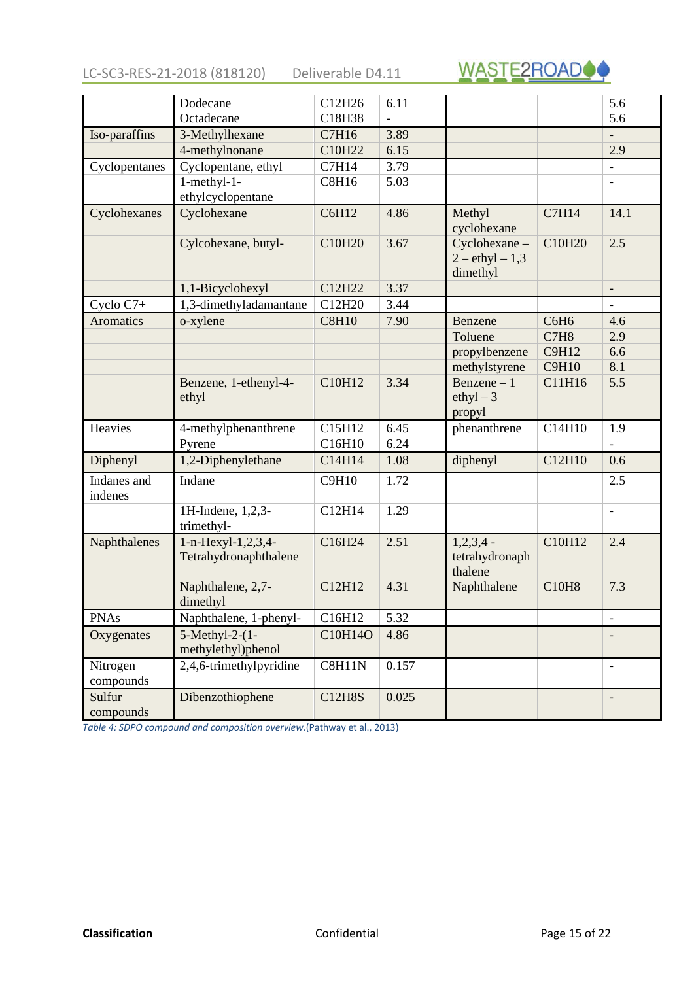<span id="page-14-0"></span>LC-SC3-RES-21-2018 (818120) Deliverable D4.11



|                        | Dodecane                                    | C12H26                                  | 6.11               |                                               |                  | 5.6                      |
|------------------------|---------------------------------------------|-----------------------------------------|--------------------|-----------------------------------------------|------------------|--------------------------|
|                        | Octadecane                                  | C18H38                                  | $\overline{a}$     |                                               |                  | 5.6                      |
| Iso-paraffins          | 3-Methylhexane                              | C7H16                                   | 3.89               |                                               |                  | $\overline{\phantom{a}}$ |
|                        | 4-methylnonane                              | C10H22                                  | 6.15               |                                               |                  | 2.9                      |
| Cyclopentanes          | Cyclopentane, ethyl                         | C7H14                                   | 3.79               |                                               |                  | $\overline{\phantom{a}}$ |
|                        | 1-methyl-1-                                 | <b>C8H16</b>                            | 5.03               |                                               |                  |                          |
|                        | ethylcyclopentane                           |                                         |                    |                                               |                  |                          |
| Cyclohexanes           | Cyclohexane                                 | C6H12                                   | 4.86               | Methyl<br>cyclohexane                         | <b>C7H14</b>     | 14.1                     |
|                        | Cylcohexane, butyl-                         | C10H20                                  | 3.67               | Cyclohexane-<br>$2 - ethyl - 1,3$<br>dimethyl | C10H20           | 2.5                      |
|                        | 1,1-Bicyclohexyl                            | C12H22                                  | 3.37               |                                               |                  |                          |
| Cyclo C7+              | 1,3-dimethyladamantane                      | C12H20                                  | 3.44               |                                               |                  | $\blacksquare$           |
| <b>Aromatics</b>       | o-xylene                                    | <b>C8H10</b>                            | 7.90               | Benzene                                       | C6H <sub>6</sub> | 4.6                      |
|                        |                                             |                                         |                    | Toluene                                       | C7H8             | 2.9                      |
|                        |                                             |                                         |                    | propylbenzene                                 | <b>C9H12</b>     | 6.6                      |
|                        |                                             |                                         |                    | methylstyrene                                 | <b>C9H10</b>     | 8.1                      |
|                        | Benzene, 1-ethenyl-4-<br>ethyl              | C10H12                                  | 3.34               | Benzene $-1$<br>ethyl $-3$<br>propyl          | C11H16           | 5.5                      |
| Heavies                | 4-methylphenanthrene                        | C15H12                                  | 6.45               | phenanthrene                                  | C14H10           | 1.9                      |
|                        | Pyrene                                      | C16H10                                  | 6.24               |                                               |                  |                          |
| Diphenyl               | 1,2-Diphenylethane                          | C14H14                                  | 1.08               | diphenyl                                      | C12H10           | 0.6                      |
| Indanes and<br>indenes | Indane                                      | <b>C9H10</b>                            | 1.72               |                                               |                  | 2.5                      |
|                        | 1H-Indene, 1,2,3-<br>trimethyl-             | C12H14                                  | 1.29               |                                               |                  | $\blacksquare$           |
| Naphthalenes           | 1-n-Hexyl-1,2,3,4-<br>Tetrahydronaphthalene | C16H24                                  | 2.51               | $1,2,3,4$ -<br>tetrahydronaph<br>thalene      | C10H12           | 2.4                      |
|                        | Naphthalene, 2,7-<br>dimethyl               | C12H12                                  | 4.31               | Naphthalene                                   | <b>C10H8</b>     | 7.3                      |
| <b>PNAs</b>            | Naphthalene, 1-phenyl-                      | $\vert$ C <sub>16</sub> H <sub>12</sub> | $\vert 5.32 \vert$ |                                               |                  |                          |
| Oxygenates             | $5$ -Methyl-2- $(1 -$<br>methylethyl)phenol | C10H14O                                 | 4.86               |                                               |                  |                          |
| Nitrogen<br>compounds  | 2,4,6-trimethylpyridine                     | <b>C8H11N</b>                           | 0.157              |                                               |                  |                          |
| Sulfur<br>compounds    | Dibenzothiophene                            | <b>C12H8S</b>                           | 0.025              |                                               |                  | $\overline{\phantom{a}}$ |

*Table 4: SDPO compound and composition overview.*(Pathway et al., 2013)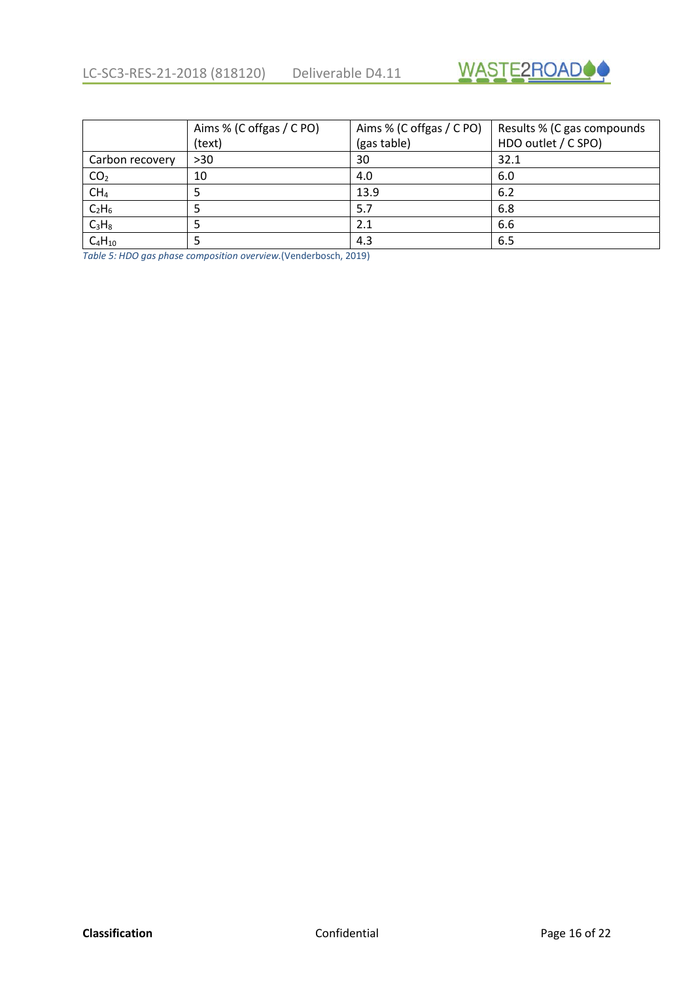

<span id="page-15-0"></span>

|                 | Aims % (C offgas / C PO) | Aims % (C offgas / C PO) | Results % (C gas compounds |
|-----------------|--------------------------|--------------------------|----------------------------|
|                 | (text)                   | (gas table)              | HDO outlet / C SPO)        |
| Carbon recovery | >30                      | 30                       | 32.1                       |
| CO <sub>2</sub> | 10                       | 4.0                      | 6.0                        |
| CH <sub>4</sub> |                          | 13.9                     | 6.2                        |
| $C_2H_6$        |                          | 5.7                      | 6.8                        |
| $C_3H_8$        |                          | 2.1                      | 6.6                        |
| $C_4H_{10}$     |                          | 4.3                      | 6.5                        |

*Table 5: HDO gas phase composition overview.*(Venderbosch, 2019)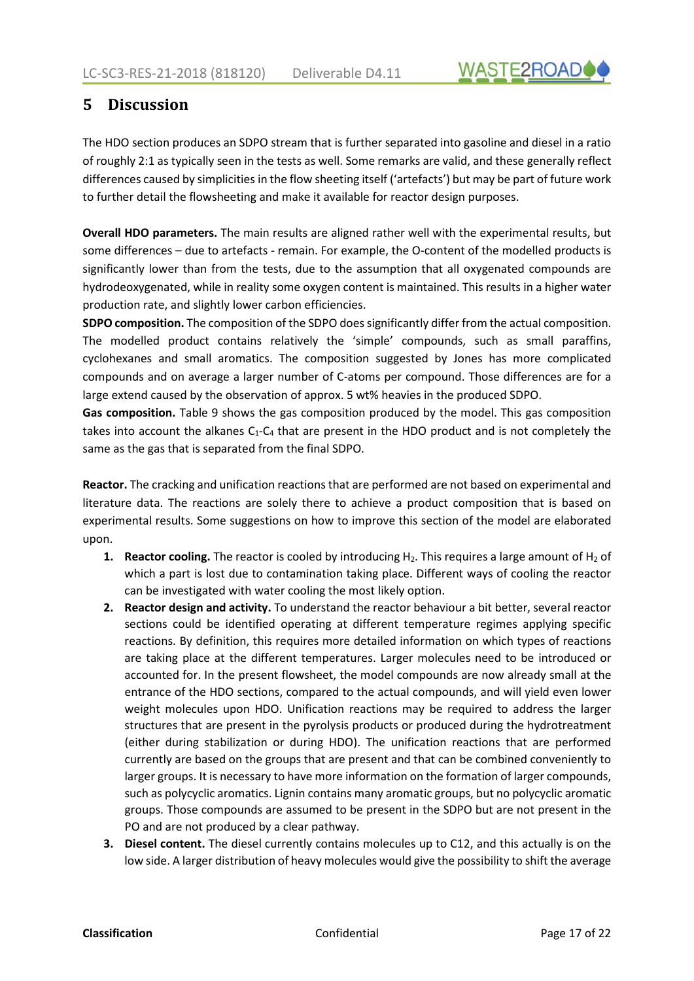

## <span id="page-16-0"></span>**5 Discussion**

The HDO section produces an SDPO stream that is further separated into gasoline and diesel in a ratio of roughly 2:1 as typically seen in the tests as well. Some remarks are valid, and these generally reflect differences caused by simplicities in the flow sheeting itself ('artefacts') but may be part of future work to further detail the flowsheeting and make it available for reactor design purposes.

**Overall HDO parameters.** The main results are aligned rather well with the experimental results, but some differences – due to artefacts - remain. For example, the O-content of the modelled products is significantly lower than from the tests, due to the assumption that all oxygenated compounds are hydrodeoxygenated, while in reality some oxygen content is maintained. This results in a higher water production rate, and slightly lower carbon efficiencies.

**SDPO composition.** The composition of the SDPO does significantly differ from the actual composition. The modelled product contains relatively the 'simple' compounds, such as small paraffins, cyclohexanes and small aromatics. The composition suggested by Jones has more complicated compounds and on average a larger number of C-atoms per compound. Those differences are for a large extend caused by the observation of approx. 5 wt% heavies in the produced SDPO.

**Gas composition.** [Table 9](#page-15-0) shows the gas composition produced by the model. This gas composition takes into account the alkanes  $C_1-C_4$  that are present in the HDO product and is not completely the same as the gas that is separated from the final SDPO.

**Reactor.** The cracking and unification reactions that are performed are not based on experimental and literature data. The reactions are solely there to achieve a product composition that is based on experimental results. Some suggestions on how to improve this section of the model are elaborated upon.

- **1. Reactor cooling.** The reactor is cooled by introducing  $H_2$ . This requires a large amount of  $H_2$  of which a part is lost due to contamination taking place. Different ways of cooling the reactor can be investigated with water cooling the most likely option.
- **2. Reactor design and activity.** To understand the reactor behaviour a bit better, several reactor sections could be identified operating at different temperature regimes applying specific reactions. By definition, this requires more detailed information on which types of reactions are taking place at the different temperatures. Larger molecules need to be introduced or accounted for. In the present flowsheet, the model compounds are now already small at the entrance of the HDO sections, compared to the actual compounds, and will yield even lower weight molecules upon HDO. Unification reactions may be required to address the larger structures that are present in the pyrolysis products or produced during the hydrotreatment (either during stabilization or during HDO). The unification reactions that are performed currently are based on the groups that are present and that can be combined conveniently to larger groups. It is necessary to have more information on the formation of larger compounds, such as polycyclic aromatics. Lignin contains many aromatic groups, but no polycyclic aromatic groups. Those compounds are assumed to be present in the SDPO but are not present in the PO and are not produced by a clear pathway.
- **3. Diesel content.** The diesel currently contains molecules up to C12, and this actually is on the low side. A larger distribution of heavy molecules would give the possibility to shift the average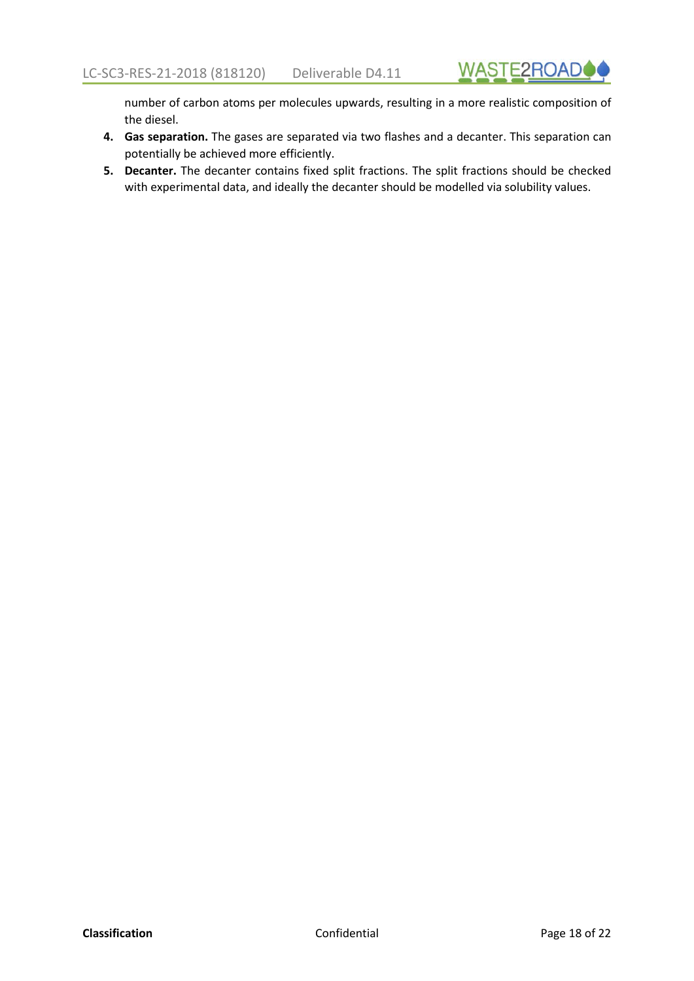number of carbon atoms per molecules upwards, resulting in a more realistic composition of the diesel.

- **4. Gas separation.** The gases are separated via two flashes and a decanter. This separation can potentially be achieved more efficiently.
- **5. Decanter.** The decanter contains fixed split fractions. The split fractions should be checked with experimental data, and ideally the decanter should be modelled via solubility values.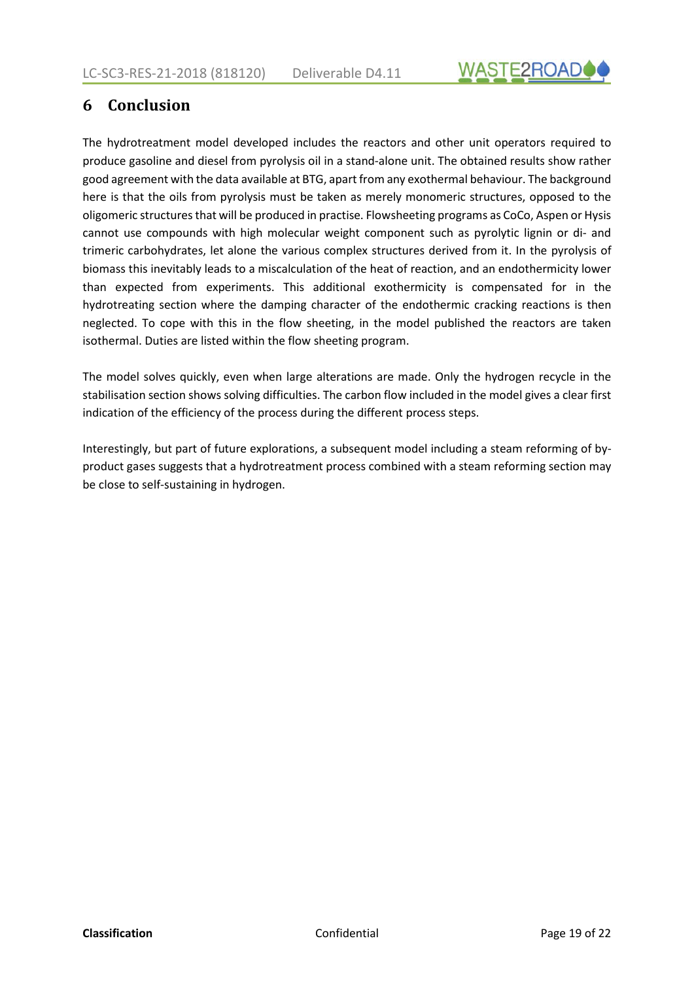

## <span id="page-18-0"></span>**6 Conclusion**

The hydrotreatment model developed includes the reactors and other unit operators required to produce gasoline and diesel from pyrolysis oil in a stand-alone unit. The obtained results show rather good agreement with the data available at BTG, apart from any exothermal behaviour. The background here is that the oils from pyrolysis must be taken as merely monomeric structures, opposed to the oligomeric structuresthat will be produced in practise. Flowsheeting programs as CoCo, Aspen or Hysis cannot use compounds with high molecular weight component such as pyrolytic lignin or di- and trimeric carbohydrates, let alone the various complex structures derived from it. In the pyrolysis of biomass this inevitably leads to a miscalculation of the heat of reaction, and an endothermicity lower than expected from experiments. This additional exothermicity is compensated for in the hydrotreating section where the damping character of the endothermic cracking reactions is then neglected. To cope with this in the flow sheeting, in the model published the reactors are taken isothermal. Duties are listed within the flow sheeting program.

The model solves quickly, even when large alterations are made. Only the hydrogen recycle in the stabilisation section shows solving difficulties. The carbon flow included in the model gives a clear first indication of the efficiency of the process during the different process steps.

Interestingly, but part of future explorations, a subsequent model including a steam reforming of byproduct gases suggests that a hydrotreatment process combined with a steam reforming section may be close to self-sustaining in hydrogen.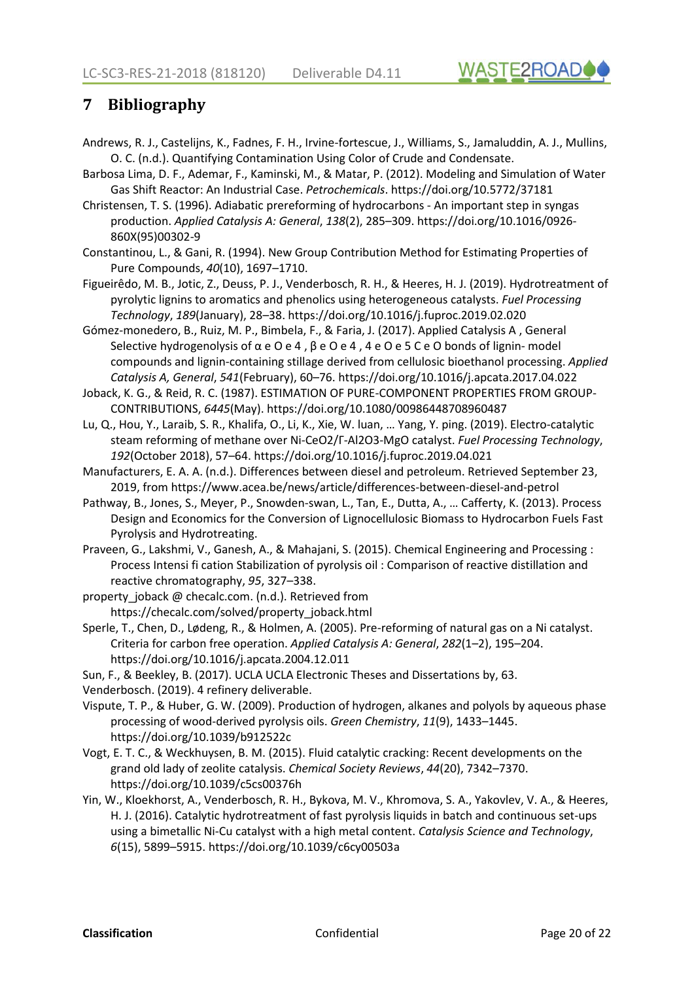

# <span id="page-19-0"></span>**7 Bibliography**

- Andrews, R. J., Castelijns, K., Fadnes, F. H., Irvine-fortescue, J., Williams, S., Jamaluddin, A. J., Mullins, O. C. (n.d.). Quantifying Contamination Using Color of Crude and Condensate.
- Barbosa Lima, D. F., Ademar, F., Kaminski, M., & Matar, P. (2012). Modeling and Simulation of Water Gas Shift Reactor: An Industrial Case. *Petrochemicals*. https://doi.org/10.5772/37181
- Christensen, T. S. (1996). Adiabatic prereforming of hydrocarbons An important step in syngas production. *Applied Catalysis A: General*, *138*(2), 285–309. https://doi.org/10.1016/0926- 860X(95)00302-9
- Constantinou, L., & Gani, R. (1994). New Group Contribution Method for Estimating Properties of Pure Compounds, *40*(10), 1697–1710.
- Figueirêdo, M. B., Jotic, Z., Deuss, P. J., Venderbosch, R. H., & Heeres, H. J. (2019). Hydrotreatment of pyrolytic lignins to aromatics and phenolics using heterogeneous catalysts. *Fuel Processing Technology*, *189*(January), 28–38. https://doi.org/10.1016/j.fuproc.2019.02.020
- Gómez-monedero, B., Ruiz, M. P., Bimbela, F., & Faria, J. (2017). Applied Catalysis A , General Selective hydrogenolysis of  $\alpha$  e O e 4,  $\beta$  e O e 4, 4 e O e 5 C e O bonds of lignin- model compounds and lignin-containing stillage derived from cellulosic bioethanol processing. *Applied Catalysis A, General*, *541*(February), 60–76. https://doi.org/10.1016/j.apcata.2017.04.022
- Joback, K. G., & Reid, R. C. (1987). ESTIMATION OF PURE-COMPONENT PROPERTIES FROM GROUP-CONTRIBUTIONS, *6445*(May). https://doi.org/10.1080/00986448708960487
- Lu, Q., Hou, Y., Laraib, S. R., Khalifa, O., Li, K., Xie, W. luan, … Yang, Y. ping. (2019). Electro-catalytic steam reforming of methane over Ni-CeO2/Γ-Al2O3-MgO catalyst. *Fuel Processing Technology*, *192*(October 2018), 57–64. https://doi.org/10.1016/j.fuproc.2019.04.021
- Manufacturers, E. A. A. (n.d.). Differences between diesel and petroleum. Retrieved September 23, 2019, from https://www.acea.be/news/article/differences-between-diesel-and-petrol
- Pathway, B., Jones, S., Meyer, P., Snowden-swan, L., Tan, E., Dutta, A., … Cafferty, K. (2013). Process Design and Economics for the Conversion of Lignocellulosic Biomass to Hydrocarbon Fuels Fast Pyrolysis and Hydrotreating.
- Praveen, G., Lakshmi, V., Ganesh, A., & Mahajani, S. (2015). Chemical Engineering and Processing : Process Intensi fi cation Stabilization of pyrolysis oil : Comparison of reactive distillation and reactive chromatography, *95*, 327–338.
- property joback @ checalc.com. (n.d.). Retrieved from https://checalc.com/solved/property\_joback.html
- Sperle, T., Chen, D., Lødeng, R., & Holmen, A. (2005). Pre-reforming of natural gas on a Ni catalyst. Criteria for carbon free operation. *Applied Catalysis A: General*, *282*(1–2), 195–204. https://doi.org/10.1016/j.apcata.2004.12.011
- Sun, F., & Beekley, B. (2017). UCLA UCLA Electronic Theses and Dissertations by, 63.
- Venderbosch. (2019). 4 refinery deliverable.
- Vispute, T. P., & Huber, G. W. (2009). Production of hydrogen, alkanes and polyols by aqueous phase processing of wood-derived pyrolysis oils. *Green Chemistry*, *11*(9), 1433–1445. https://doi.org/10.1039/b912522c
- Vogt, E. T. C., & Weckhuysen, B. M. (2015). Fluid catalytic cracking: Recent developments on the grand old lady of zeolite catalysis. *Chemical Society Reviews*, *44*(20), 7342–7370. https://doi.org/10.1039/c5cs00376h
- Yin, W., Kloekhorst, A., Venderbosch, R. H., Bykova, M. V., Khromova, S. A., Yakovlev, V. A., & Heeres, H. J. (2016). Catalytic hydrotreatment of fast pyrolysis liquids in batch and continuous set-ups using a bimetallic Ni-Cu catalyst with a high metal content. *Catalysis Science and Technology*, *6*(15), 5899–5915. https://doi.org/10.1039/c6cy00503a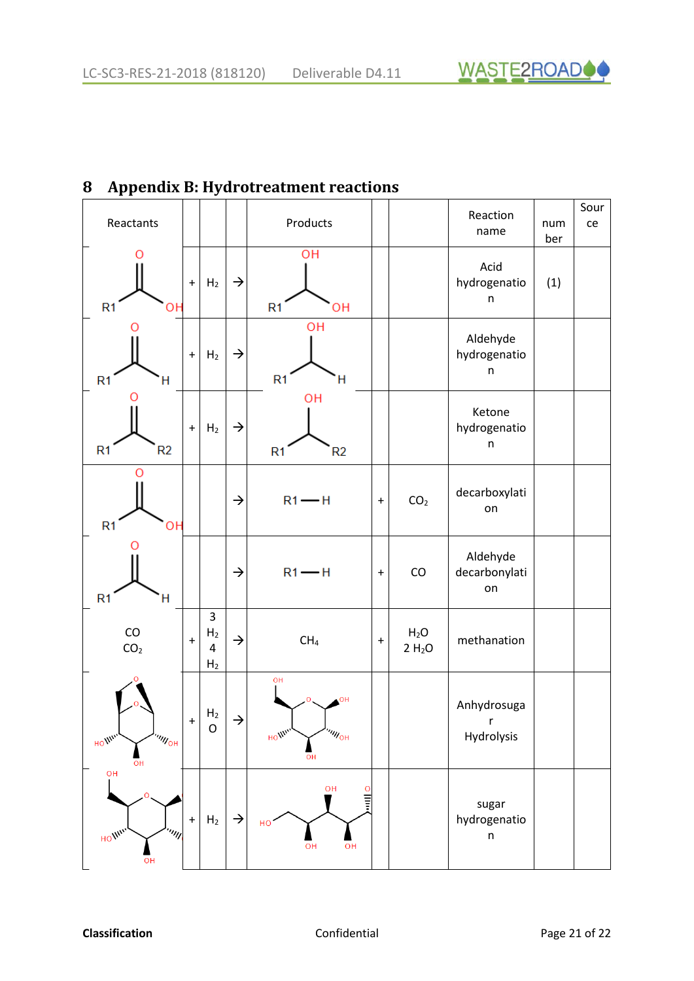

# <span id="page-20-0"></span>**8 Appendix B: Hydrotreatment reactions**